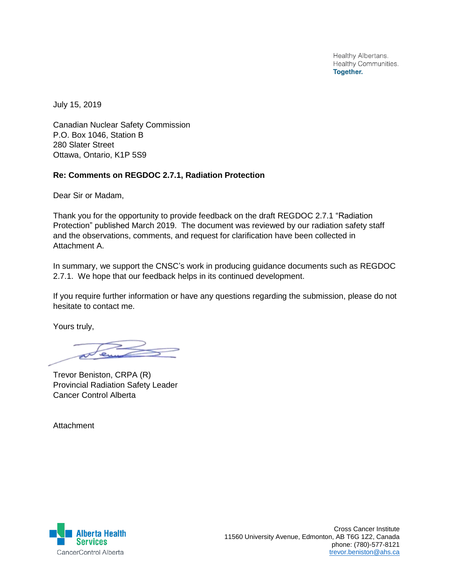Healthy Albertans. **Healthy Communities. Together.** 

July 15, 2019

Canadian Nuclear Safety Commission P.O. Box 1046, Station B 280 Slater Street Ottawa, Ontario, K1P 5S9

## **Re: Comments on REGDOC 2.7.1, Radiation Protection**

Dear Sir or Madam,

Thank you for the opportunity to provide feedback on the draft REGDOC 2.7.1 "Radiation Protection" published March 2019. The document was reviewed by our radiation safety staff and the observations, comments, and request for clarification have been collected in Attachment A.

In summary, we support the CNSC's work in producing guidance documents such as REGDOC 2.7.1. We hope that our feedback helps in its continued development.

If you require further information or have any questions regarding the submission, please do not hesitate to contact me.

Yours truly,

 $\overline{e}$ 

Trevor Beniston, CRPA (R) Provincial Radiation Safety Leader Cancer Control Alberta

Attachment

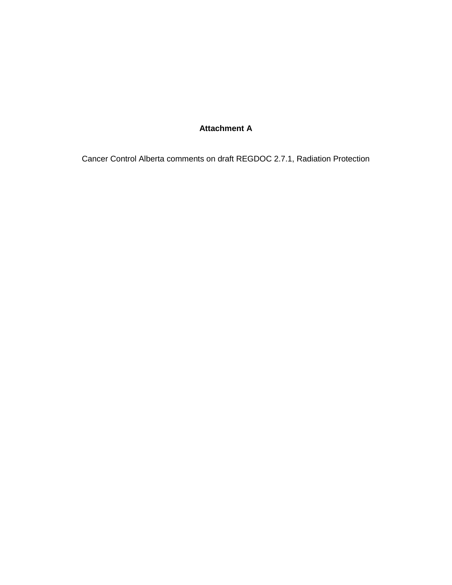## **Attachment A**

Cancer Control Alberta comments on draft REGDOC 2.7.1, Radiation Protection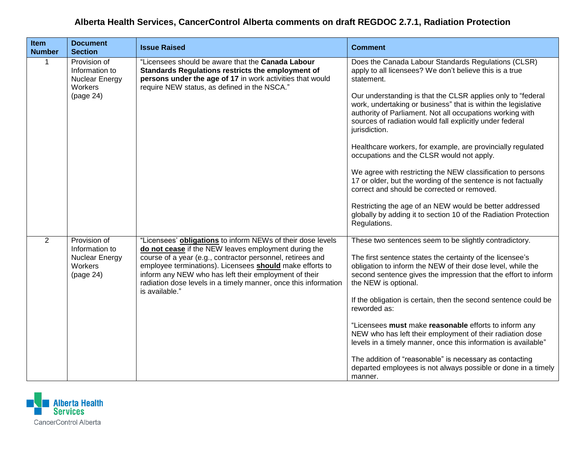## **Alberta Health Services, CancerControl Alberta comments on draft REGDOC 2.7.1, Radiation Protection**

| Item<br><b>Number</b> | <b>Document</b><br><b>Section</b>                                        | <b>Issue Raised</b>                                                                                                                                                                                                                                                                                                                                                                         | <b>Comment</b>                                                                                                                                                                                                                                                                                                                                                                                                                                                                                                                                                                                                                                                                                                                                                                                                                                  |
|-----------------------|--------------------------------------------------------------------------|---------------------------------------------------------------------------------------------------------------------------------------------------------------------------------------------------------------------------------------------------------------------------------------------------------------------------------------------------------------------------------------------|-------------------------------------------------------------------------------------------------------------------------------------------------------------------------------------------------------------------------------------------------------------------------------------------------------------------------------------------------------------------------------------------------------------------------------------------------------------------------------------------------------------------------------------------------------------------------------------------------------------------------------------------------------------------------------------------------------------------------------------------------------------------------------------------------------------------------------------------------|
| $\mathbf 1$           | Provision of<br>Information to<br>Nuclear Energy<br>Workers<br>(page 24) | "Licensees should be aware that the Canada Labour<br>Standards Regulations restricts the employment of<br>persons under the age of 17 in work activities that would<br>require NEW status, as defined in the NSCA."                                                                                                                                                                         | Does the Canada Labour Standards Regulations (CLSR)<br>apply to all licensees? We don't believe this is a true<br>statement.<br>Our understanding is that the CLSR applies only to "federal<br>work, undertaking or business" that is within the legislative<br>authority of Parliament. Not all occupations working with<br>sources of radiation would fall explicitly under federal<br>jurisdiction.<br>Healthcare workers, for example, are provincially regulated<br>occupations and the CLSR would not apply.<br>We agree with restricting the NEW classification to persons<br>17 or older, but the wording of the sentence is not factually<br>correct and should be corrected or removed.<br>Restricting the age of an NEW would be better addressed<br>globally by adding it to section 10 of the Radiation Protection<br>Regulations. |
| $\overline{2}$        | Provision of<br>Information to<br>Nuclear Energy<br>Workers<br>(page 24) | "Licensees' obligations to inform NEWs of their dose levels<br>do not cease if the NEW leaves employment during the<br>course of a year (e.g., contractor personnel, retirees and<br>employee terminations). Licensees should make efforts to<br>inform any NEW who has left their employment of their<br>radiation dose levels in a timely manner, once this information<br>is available." | These two sentences seem to be slightly contradictory.<br>The first sentence states the certainty of the licensee's<br>obligation to inform the NEW of their dose level, while the<br>second sentence gives the impression that the effort to inform<br>the NEW is optional.<br>If the obligation is certain, then the second sentence could be<br>reworded as:<br>"Licensees must make reasonable efforts to inform any<br>NEW who has left their employment of their radiation dose<br>levels in a timely manner, once this information is available"<br>The addition of "reasonable" is necessary as contacting<br>departed employees is not always possible or done in a timely<br>manner.                                                                                                                                                  |

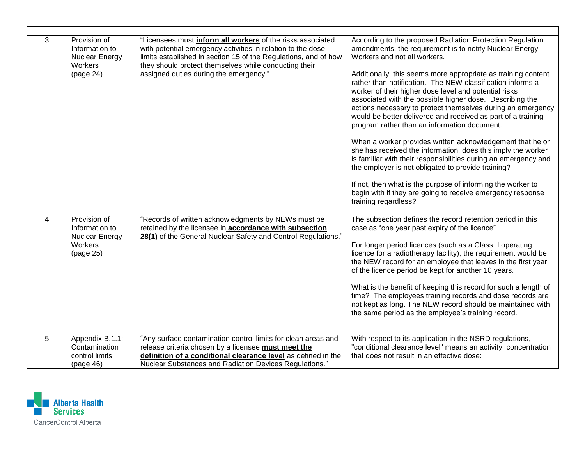| 3 | Provision of<br>Information to<br>Nuclear Energy<br>Workers<br>(page 24) | "Licensees must <i>inform all workers</i> of the risks associated<br>with potential emergency activities in relation to the dose<br>limits established in section 15 of the Regulations, and of how<br>they should protect themselves while conducting their<br>assigned duties during the emergency." | According to the proposed Radiation Protection Regulation<br>amendments, the requirement is to notify Nuclear Energy<br>Workers and not all workers.<br>Additionally, this seems more appropriate as training content<br>rather than notification. The NEW classification informs a<br>worker of their higher dose level and potential risks<br>associated with the possible higher dose. Describing the<br>actions necessary to protect themselves during an emergency<br>would be better delivered and received as part of a training<br>program rather than an information document.<br>When a worker provides written acknowledgement that he or<br>she has received the information, does this imply the worker<br>is familiar with their responsibilities during an emergency and<br>the employer is not obligated to provide training?<br>If not, then what is the purpose of informing the worker to<br>begin with if they are going to receive emergency response<br>training regardless? |
|---|--------------------------------------------------------------------------|--------------------------------------------------------------------------------------------------------------------------------------------------------------------------------------------------------------------------------------------------------------------------------------------------------|----------------------------------------------------------------------------------------------------------------------------------------------------------------------------------------------------------------------------------------------------------------------------------------------------------------------------------------------------------------------------------------------------------------------------------------------------------------------------------------------------------------------------------------------------------------------------------------------------------------------------------------------------------------------------------------------------------------------------------------------------------------------------------------------------------------------------------------------------------------------------------------------------------------------------------------------------------------------------------------------------|
| 4 | Provision of<br>Information to<br>Nuclear Energy<br>Workers<br>(page 25) | "Records of written acknowledgments by NEWs must be<br>retained by the licensee in accordance with subsection<br>28(1) of the General Nuclear Safety and Control Regulations."                                                                                                                         | The subsection defines the record retention period in this<br>case as "one year past expiry of the licence".<br>For longer period licences (such as a Class II operating<br>licence for a radiotherapy facility), the requirement would be<br>the NEW record for an employee that leaves in the first year<br>of the licence period be kept for another 10 years.<br>What is the benefit of keeping this record for such a length of<br>time? The employees training records and dose records are<br>not kept as long. The NEW record should be maintained with<br>the same period as the employee's training record.                                                                                                                                                                                                                                                                                                                                                                              |
| 5 | Appendix B.1.1:<br>Contamination<br>control limits<br>(page 46)          | "Any surface contamination control limits for clean areas and<br>release criteria chosen by a licensee must meet the<br>definition of a conditional clearance level as defined in the<br>Nuclear Substances and Radiation Devices Regulations."                                                        | With respect to its application in the NSRD regulations,<br>"conditional clearance level" means an activity concentration<br>that does not result in an effective dose:                                                                                                                                                                                                                                                                                                                                                                                                                                                                                                                                                                                                                                                                                                                                                                                                                            |